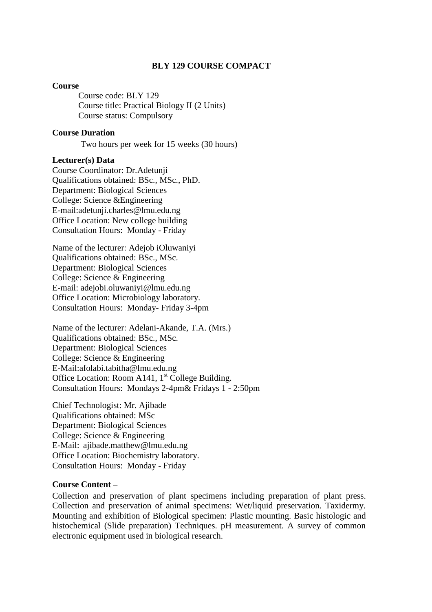#### **BLY 129 COURSE COMPACT**

#### **Course**

Course code: BLY 129 Course title: Practical Biology II (2 Units) Course status: Compulsory

#### **Course Duration**

Two hours per week for 15 weeks (30 hours)

#### **Lecturer(s) Data**

Course Coordinator: Dr.Adetunji Qualifications obtained: BSc., MSc., PhD. Department: Biological Sciences College: Science &Engineering E-mail:adetunji.charles@lmu.edu.ng Office Location: New college building Consultation Hours: Monday - Friday

Name of the lecturer: Adejob iOluwaniyi Qualifications obtained: BSc., MSc. Department: Biological Sciences College: Science & Engineering E-mail: adejobi.oluwaniyi@lmu.edu.ng Office Location: Microbiology laboratory. Consultation Hours: Monday- Friday 3-4pm

Name of the lecturer: Adelani-Akande, T.A. (Mrs.) Qualifications obtained: BSc., MSc. Department: Biological Sciences College: Science & Engineering E-Mail:afolabi.tabitha@lmu.edu.ng Office Location: Room A141,  $1<sup>st</sup>$  College Building. Consultation Hours: Mondays 2-4pm& Fridays 1 - 2:50pm

Chief Technologist: Mr. Ajibade Qualifications obtained: MSc Department: Biological Sciences College: Science & Engineering E-Mail: ajibade.matthew@lmu.edu.ng Office Location: Biochemistry laboratory. Consultation Hours: Monday - Friday

#### **Course Content –**

Collection and preservation of plant specimens including preparation of plant press. Collection and preservation of animal specimens: Wet/liquid preservation. Taxidermy. Mounting and exhibition of Biological specimen: Plastic mounting. Basic histologic and histochemical (Slide preparation) Techniques. pH measurement. A survey of common electronic equipment used in biological research.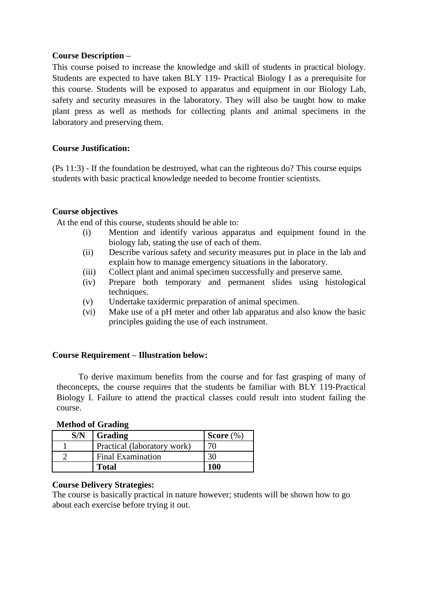#### **Course Description –**

This course poised to increase the knowledge and skill of students in practical biology. Students are expected to have taken BLY 119- Practical Biology I as a prerequisite for this course. Students will be exposed to apparatus and equipment in our Biology Lab, safety and security measures in the laboratory. They will also be taught how to make plant press as well as methods for collecting plants and animal specimens in the laboratory and preserving them.

#### **Course Justification:**

(Ps 11:3) - If the foundation be destroyed, what can the righteous do? This course equips students with basic practical knowledge needed to become frontier scientists.

#### **Course objectives**

At the end of this course, students should be able to:

- (i) Mention and identify various apparatus and equipment found in the biology lab, stating the use of each of them.
- (ii) Describe various safety and security measures put in place in the lab and explain how to manage emergency situations in the laboratory.
- (iii) Collect plant and animal specimen successfully and preserve same.
- (iv) Prepare both temporary and permanent slides using histological techniques.
- (v) Undertake taxidermic preparation of animal specimen.
- (vi) Make use of a pH meter and other lab apparatus and also know the basic principles guiding the use of each instrument.

#### **Course Requirement – Illustration below:**

To derive maximum benefits from the course and for fast grasping of many of theconcepts, the course requires that the students be familiar with BLY 119-Practical Biology I. Failure to attend the practical classes could result into student failing the course.

| S/N | Grading                     | Score $(\%)$ |
|-----|-----------------------------|--------------|
|     | Practical (laboratory work) |              |
|     | <b>Final Examination</b>    |              |
|     | <b>Total</b>                | 100          |

#### **Method of Grading**

#### **Course Delivery Strategies:**

The course is basically practical in nature however; students will be shown how to go about each exercise before trying it out.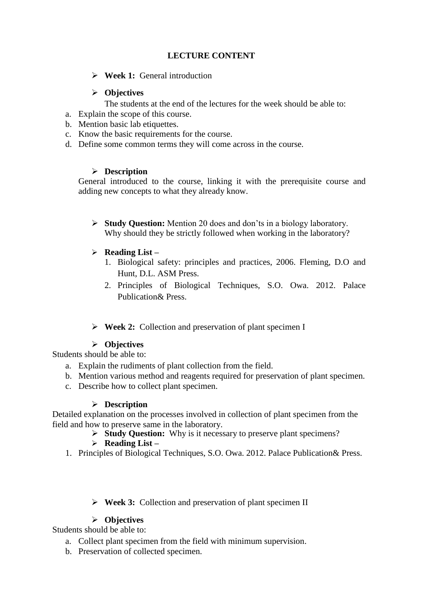# **LECTURE CONTENT**

**Week 1:** General introduction

## **Objectives**

The students at the end of the lectures for the week should be able to:

- a. Explain the scope of this course.
- b. Mention basic lab etiquettes.
- c. Know the basic requirements for the course.
- d. Define some common terms they will come across in the course.

# **Description**

General introduced to the course, linking it with the prerequisite course and adding new concepts to what they already know.

- **Study Question:** Mention 20 does and don'ts in a biology laboratory. Why should they be strictly followed when working in the laboratory?
- **Reading List –**
	- 1. Biological safety: principles and practices, 2006. Fleming, D.O and Hunt, D.L. ASM Press.
	- 2. Principles of Biological Techniques, S.O. Owa. 2012. Palace Publication& Press.

# **Week 2:** Collection and preservation of plant specimen I

# **Objectives**

Students should be able to:

- a. Explain the rudiments of plant collection from the field.
- b. Mention various method and reagents required for preservation of plant specimen.
- c. Describe how to collect plant specimen.

## **Description**

Detailed explanation on the processes involved in collection of plant specimen from the field and how to preserve same in the laboratory.

**Study Question:** Why is it necessary to preserve plant specimens?

# **Reading List –**

- 1. Principles of Biological Techniques, S.O. Owa. 2012. Palace Publication& Press.
	- **Week 3:** Collection and preservation of plant specimen II

# **Objectives**

Students should be able to:

- a. Collect plant specimen from the field with minimum supervision.
- b. Preservation of collected specimen.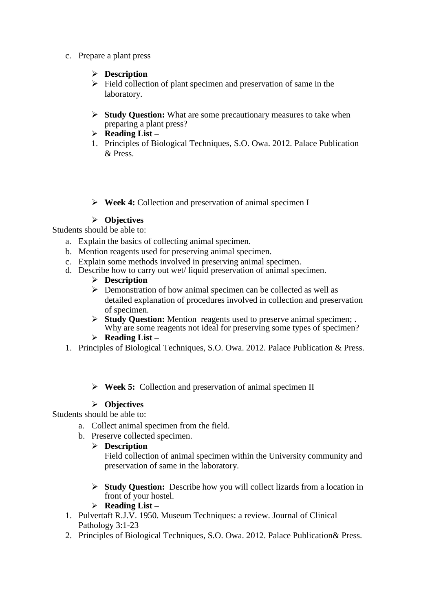- c. Prepare a plant press
	- **Description**
	- $\triangleright$  Field collection of plant specimen and preservation of same in the laboratory.
	- **Study Question:** What are some precautionary measures to take when preparing a plant press?
	- **Reading List –**
	- 1. Principles of Biological Techniques, S.O. Owa. 2012. Palace Publication & Press.
	- **Week 4:** Collection and preservation of animal specimen I

## **Objectives**

Students should be able to:

- a. Explain the basics of collecting animal specimen.
- b. Mention reagents used for preserving animal specimen.
- c. Explain some methods involved in preserving animal specimen.
- d. Describe how to carry out wet/ liquid preservation of animal specimen.
	- **Description**
	- $\triangleright$  Demonstration of how animal specimen can be collected as well as detailed explanation of procedures involved in collection and preservation of specimen.
	- **Study Question:** Mention reagents used to preserve animal specimen; . Why are some reagents not ideal for preserving some types of specimen?
	- **Reading List –**
- 1. Principles of Biological Techniques, S.O. Owa. 2012. Palace Publication & Press.
	- **Week 5:** Collection and preservation of animal specimen II

## **Objectives**

Students should be able to:

- a. Collect animal specimen from the field.
- b. Preserve collected specimen.
	- **Description**

Field collection of animal specimen within the University community and preservation of same in the laboratory.

- **Study Question:** Describe how you will collect lizards from a location in front of your hostel.
- **Reading List –**
- 1. Pulvertaft R.J.V. 1950. Museum Techniques: a review. Journal of Clinical Pathology 3:1-23
- 2. Principles of Biological Techniques, S.O. Owa. 2012. Palace Publication& Press.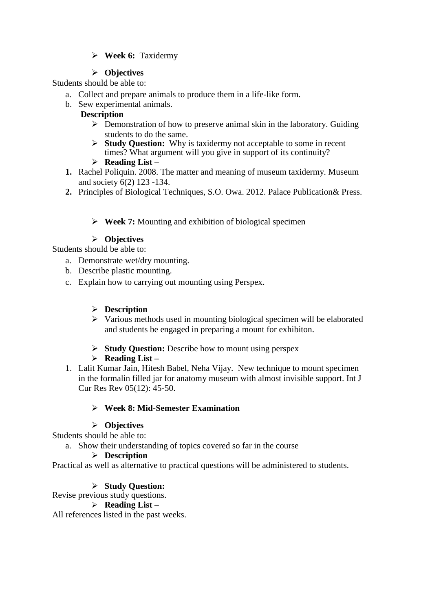# **Week 6:** Taxidermy

## **Objectives**

Students should be able to:

- a. Collect and prepare animals to produce them in a life-like form.
- b. Sew experimental animals.

## **Description**

- $\triangleright$  Demonstration of how to preserve animal skin in the laboratory. Guiding students to do the same.
- **Study Question:** Why is taxidermy not acceptable to some in recent times? What argument will you give in support of its continuity?
- **Reading List –**
- **1.** Rachel Poliquin. 2008. The matter and meaning of museum taxidermy. Museum and society 6(2) 123 -134.
- **2.** Principles of Biological Techniques, S.O. Owa. 2012. Palace Publication& Press.

# **Week 7:** Mounting and exhibition of biological specimen

## **Objectives**

Students should be able to:

- a. Demonstrate wet/dry mounting.
- b. Describe plastic mounting.
- c. Explain how to carrying out mounting using Perspex.

#### **Description**

- $\triangleright$  Various methods used in mounting biological specimen will be elaborated and students be engaged in preparing a mount for exhibiton.
- **Study Question:** Describe how to mount using perspex

## **Reading List –**

1. Lalit Kumar Jain, Hitesh Babel, Neha Vijay. New technique to mount specimen in the formalin filled jar for anatomy museum with almost invisible support. Int J Cur Res Rev 05(12): 45-50.

## **Week 8: Mid-Semester Examination**

## **Objectives**

Students should be able to:

a. Show their understanding of topics covered so far in the course

## **Description**

Practical as well as alternative to practical questions will be administered to students.

## **Study Question:**

Revise previous study questions.

# **Reading List –**

All references listed in the past weeks.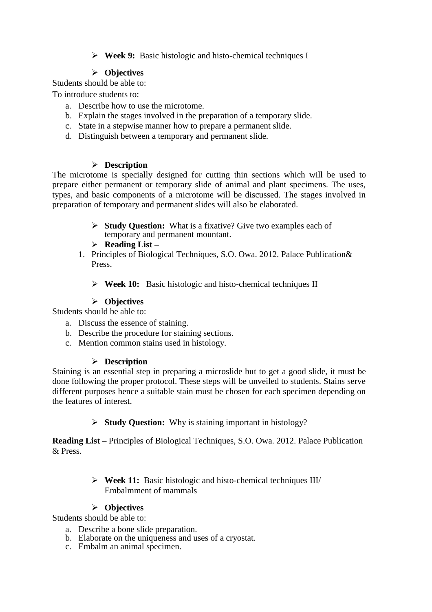**Week 9:** Basic histologic and histo-chemical techniques I

# **Objectives**

Students should be able to:

To introduce students to:

- a. Describe how to use the microtome.
- b. Explain the stages involved in the preparation of a temporary slide.
- c. State in a stepwise manner how to prepare a permanent slide.
- d. Distinguish between a temporary and permanent slide.

# **Description**

The microtome is specially designed for cutting thin sections which will be used to prepare either permanent or temporary slide of animal and plant specimens. The uses, types, and basic components of a microtome will be discussed. The stages involved in preparation of temporary and permanent slides will also be elaborated.

- **Study Question:** What is a fixative? Give two examples each of temporary and permanent mountant.
- **Reading List –**
- 1. Principles of Biological Techniques, S.O. Owa. 2012. Palace Publication& Press.
	- **Week 10:** Basic histologic and histo-chemical techniques II

# **Objectives**

Students should be able to:

- a. Discuss the essence of staining.
- b. Describe the procedure for staining sections.
- c. Mention common stains used in histology.

# **Description**

Staining is an essential step in preparing a microslide but to get a good slide, it must be done following the proper protocol. These steps will be unveiled to students. Stains serve different purposes hence a suitable stain must be chosen for each specimen depending on the features of interest.

**Study Question:** Why is staining important in histology?

**Reading List –** Principles of Biological Techniques, S.O. Owa. 2012. Palace Publication & Press.

> **Week 11:** Basic histologic and histo-chemical techniques III/ Embalmment of mammals

# **Objectives**

Students should be able to:

- a. Describe a bone slide preparation.
- b. Elaborate on the uniqueness and uses of a cryostat.
- c. Embalm an animal specimen.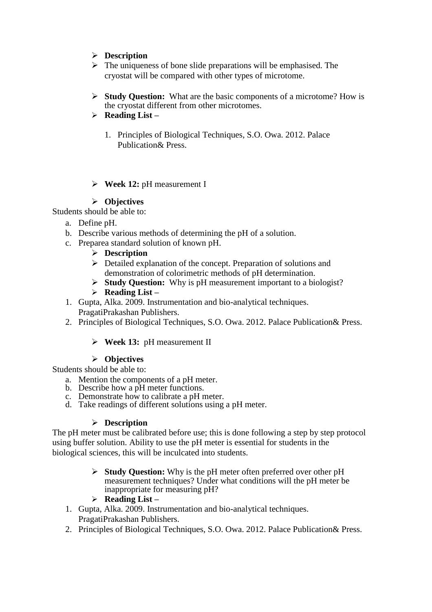- **Description**
- $\triangleright$  The uniqueness of bone slide preparations will be emphasised. The cryostat will be compared with other types of microtome.
- **Study Question:** What are the basic components of a microtome? How is the cryostat different from other microtomes.
- **Reading List –**
	- 1. Principles of Biological Techniques, S.O. Owa. 2012. Palace Publication& Press.
- **Week 12:** pH measurement I

## **Objectives**

Students should be able to:

- a. Define pH.
- b. Describe various methods of determining the pH of a solution.
- c. Preparea standard solution of known pH.
	- **Description**
	- $\triangleright$  Detailed explanation of the concept. Preparation of solutions and demonstration of colorimetric methods of pH determination.
	- **Study Question:** Why is pH measurement important to a biologist?
	- **Reading List –**
- 1. Gupta, Alka. 2009. Instrumentation and bio-analytical techniques. PragatiPrakashan Publishers.
- 2. Principles of Biological Techniques, S.O. Owa. 2012. Palace Publication& Press.
	- **Week 13:** pH measurement II

## **Objectives**

Students should be able to:

- a. Mention the components of a pH meter.
- b. Describe how a pH meter functions.
- c. Demonstrate how to calibrate a pH meter.
- d. Take readings of different solutions using a pH meter.

## **Description**

The pH meter must be calibrated before use; this is done following a step by step protocol using buffer solution. Ability to use the pH meter is essential for students in the biological sciences, this will be inculcated into students.

- **Study Question:** Why is the pH meter often preferred over other pH measurement techniques? Under what conditions will the pH meter be inappropriate for measuring pH?
- **Reading List –**
- 1. Gupta, Alka. 2009. Instrumentation and bio-analytical techniques. PragatiPrakashan Publishers.
- 2. Principles of Biological Techniques, S.O. Owa. 2012. Palace Publication& Press.